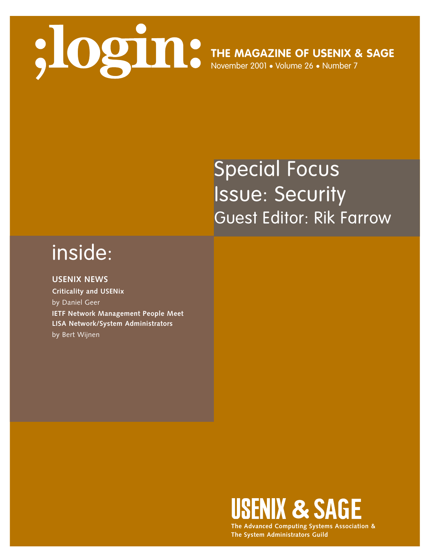## **THE MAGAZINE OF USENIX & SAGE** November 2001 • Volume 26 • Number 7

### Special Focus Issue: Security Guest Editor: Rik Farrow

#### inside:

**USENIX NEWS Criticality and USENix** by Daniel Geer **IETF Network Management People Meet LISA Network/System Administrators** by Bert Wijnen



**The Advanced Computing Systems Association & The System Administrators Guild**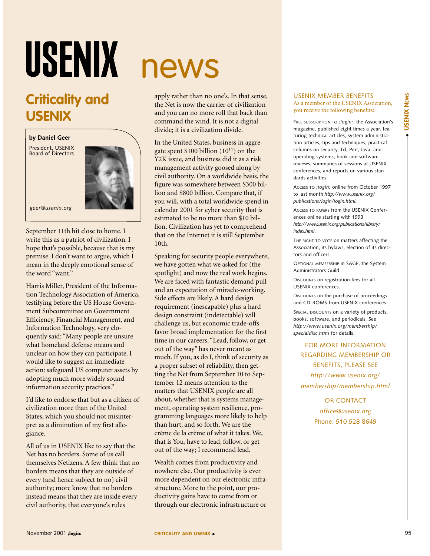# USENIX

#### **Criticality and USENIX**

**by Daniel Geer**

President, USENIX Board of Directors



*geer@usenix.org*

September 11th hit close to home. I write this as a patriot of civilization. I hope that's possible, because that is my premise. I don't want to argue, which I mean in the deeply emotional sense of the word "want"

Harris Miller, President of the Information Technology Association of America, testifying before the US House Government Subcommittee on Government Efficiency, Financial Management, and Information Technology, very eloquently said: "Many people are unsure what homeland defense means and unclear on how they can participate. I would like to suggest an immediate action: safeguard US computer assets by adopting much more widely sound information security practices."

I'd like to endorse that but as a citizen of civilization more than of the United States, which you should not misinterpret as a diminution of my first allegiance.

All of us in USENIX like to say that the Net has no borders. Some of us call themselves Netizens. A few think that no borders means that they are outside of every (and hence subject to no) civil authority; more know that no borders instead means that they are inside every civil authority, that everyone's rules

## news

apply rather than no one's. In that sense, the Net is now the carrier of civilization and you can no more roll that back than command the wind. It is not a digital divide; it is a civilization divide.

In the United States, business in aggregate spent \$100 billion (1011) on the Y2K issue, and business did it as a risk management activity goosed along by civil authority. On a worldwide basis, the figure was somewhere between \$300 billion and \$800 billion. Compare that, if you will, with a total worldwide spend in calendar 2001 for cyber security that is estimated to be no more than \$10 billion. Civilization has yet to comprehend that on the Internet it is still September 10th.

Speaking for security people everywhere, we have gotten what we asked for (the spotlight) and now the real work begins. We are faced with fantastic demand pull and an expectation of miracle-working. Side effects are likely. A hard design requirement (inescapable) plus a hard design constraint (indetectable) will challenge us, but economic trade-offs favor broad implementation for the first time in our careers. "Lead, follow, or get out of the way" has never meant as much. If you, as do I, think of security as a proper subset of reliability, then getting the Net from September 10 to September 12 means attention to the matters that USENIX people are all about, whether that is systems management, operating system resilience, programming languages more likely to help than hurt, and so forth. We are the crème de la crème of what it takes. We, that is You, have to lead, follow, or get out of the way; I recommend lead.

Wealth comes from productivity and nowhere else. Our productivity is ever more dependent on our electronic infrastructure. More to the point, our productivity gains have to come from or through our electronic infrastructure or

#### USENIX MEMBER BENEFITS As a member of the USENIX Association, you receive the following benefits:

FREE SUBSCRIPTION TO *;login:*, the Association's magazine, published eight times a year, featuring technical articles, system administration articles, tips and techniques, practical columns on security, Tcl, Perl, Java, and operating systems, book and software reviews, summaries of sessions at USENIX conferences, and reports on various standards activities.

ACCESS TO *;login:* online from October 1997 to last month *http://www.usenix.org/ publications/login/login.html.*

ACCESS TO PAPERS from the USENIX Conferences online starting with 1993 *http://www.usenix.org/publications/library/ index.html*.

THE RIGHT TO VOTE on matters affecting the Association, its bylaws, election of its directors and officers.

OPTIONAL MEMBERSHIP in SAGE, the System Administrators Guild.

DISCOUNTS on registration fees for all USENIX conferences.

DISCOUNTS on the purchase of proceedings and CD-ROMS from USENIX conferences.

SPECIAL DISCOUNTS on a variety of products books, software, and periodicals. See *http://www.usenix.org/membership/ specialdisc.html* for details.

FOR MORE INFORMATION REGARDING MEMBERSHIP OR BENEFITS, PLEASE SEE *http://www.usenix.org/ membership/membership.html*

> OR CONTACT *office@usenix.org* Phone: 510 528 8649